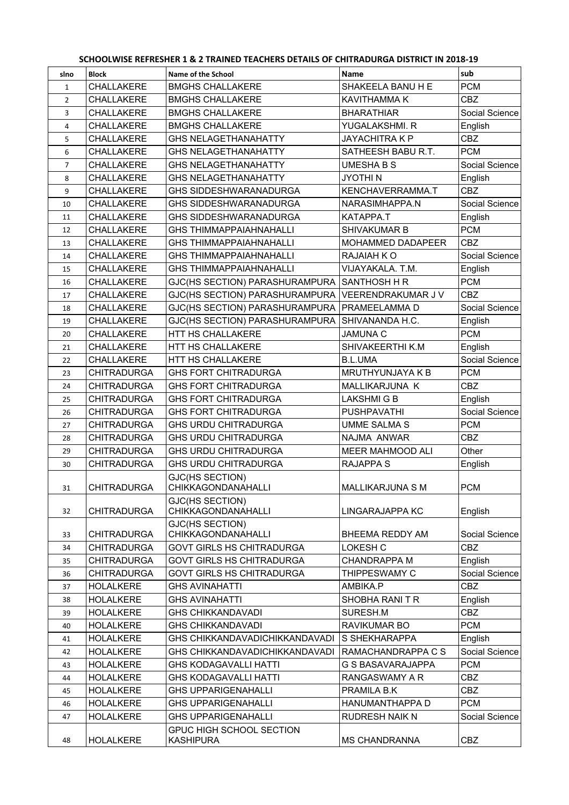| SCHOOLWISE REFRESHER 1 & 2 TRAINED TEACHERS DETAILS OF CHITRADURGA DISTRICT IN 2018-19 |                    |                                                     |                         |                |  |
|----------------------------------------------------------------------------------------|--------------------|-----------------------------------------------------|-------------------------|----------------|--|
| slno                                                                                   | <b>Block</b>       | Name of the School                                  | <b>Name</b>             | sub            |  |
| $\mathbf{1}$                                                                           | CHALLAKERE         | <b>BMGHS CHALLAKERE</b>                             | SHAKEELA BANU H E       | <b>PCM</b>     |  |
| $\overline{2}$                                                                         | CHALLAKERE         | <b>BMGHS CHALLAKERE</b>                             | KAVITHAMMA K            | <b>CBZ</b>     |  |
| 3                                                                                      | CHALLAKERE         | <b>BMGHS CHALLAKERE</b>                             | <b>BHARATHIAR</b>       | Social Science |  |
| 4                                                                                      | CHALLAKERE         | <b>BMGHS CHALLAKERE</b>                             | YUGALAKSHMI. R          | English        |  |
| 5                                                                                      | CHALLAKERE         | <b>GHS NELAGETHANAHATTY</b>                         | <b>JAYACHITRA K P</b>   | <b>CBZ</b>     |  |
| 6                                                                                      | CHALLAKERE         | <b>GHS NELAGETHANAHATTY</b>                         | SATHEESH BABU R.T.      | <b>PCM</b>     |  |
| $\overline{7}$                                                                         | CHALLAKERE         | <b>GHS NELAGETHANAHATTY</b>                         | <b>UMESHA B S</b>       | Social Science |  |
| 8                                                                                      | <b>CHALLAKERE</b>  | <b>GHS NELAGETHANAHATTY</b>                         | <b>JYOTHIN</b>          | English        |  |
| 9                                                                                      | CHALLAKERE         | <b>GHS SIDDESHWARANADURGA</b>                       | KENCHAVERRAMMA.T        | <b>CBZ</b>     |  |
| 10                                                                                     | CHALLAKERE         | <b>GHS SIDDESHWARANADURGA</b>                       | NARASIMHAPPA.N          | Social Science |  |
| 11                                                                                     | CHALLAKERE         | GHS SIDDESHWARANADURGA                              | KATAPPA.T               | English        |  |
| 12                                                                                     | CHALLAKERE         | <b>GHS THIMMAPPAIAHNAHALLI</b>                      | SHIVAKUMAR B            | <b>PCM</b>     |  |
| 13                                                                                     | CHALLAKERE         | <b>GHS THIMMAPPAIAHNAHALLI</b>                      | MOHAMMED DADAPEER       | <b>CBZ</b>     |  |
| 14                                                                                     | CHALLAKERE         | <b>GHS THIMMAPPAIAHNAHALLI</b>                      | RAJAIAH KO              | Social Science |  |
| 15                                                                                     | CHALLAKERE         | <b>GHS THIMMAPPAIAHNAHALLI</b>                      | VIJAYAKALA. T.M.        | English        |  |
| 16                                                                                     | CHALLAKERE         | GJC(HS SECTION) PARASHURAMPURA                      | <b>SANTHOSH H R</b>     | <b>PCM</b>     |  |
| 17                                                                                     | CHALLAKERE         | GJC(HS SECTION) PARASHURAMPURA                      | VEERENDRAKUMAR J V      | <b>CBZ</b>     |  |
| 18                                                                                     | CHALLAKERE         | GJC(HS SECTION) PARASHURAMPURA                      | PRAMEELAMMA D           | Social Science |  |
| 19                                                                                     | CHALLAKERE         | GJC(HS SECTION) PARASHURAMPURA                      | SHIVANANDA H.C.         | English        |  |
| 20                                                                                     | CHALLAKERE         | HTT HS CHALLAKERE                                   | <b>JAMUNA C</b>         | <b>PCM</b>     |  |
| 21                                                                                     | CHALLAKERE         | HTT HS CHALLAKERE                                   | SHIVAKEERTHI K.M        | English        |  |
| 22                                                                                     | CHALLAKERE         | HTT HS CHALLAKERE                                   | <b>B.L.UMA</b>          | Social Science |  |
| 23                                                                                     | <b>CHITRADURGA</b> | <b>GHS FORT CHITRADURGA</b>                         | MRUTHYUNJAYA K B        | <b>PCM</b>     |  |
| 24                                                                                     | <b>CHITRADURGA</b> | <b>GHS FORT CHITRADURGA</b>                         | MALLIKARJUNA K          | <b>CBZ</b>     |  |
| 25                                                                                     | <b>CHITRADURGA</b> | <b>GHS FORT CHITRADURGA</b>                         | <b>LAKSHMIGB</b>        | English        |  |
| 26                                                                                     | <b>CHITRADURGA</b> | <b>GHS FORT CHITRADURGA</b>                         | <b>PUSHPAVATHI</b>      | Social Science |  |
| 27                                                                                     | <b>CHITRADURGA</b> | <b>GHS URDU CHITRADURGA</b>                         | <b>UMME SALMA S</b>     | <b>PCM</b>     |  |
| 28                                                                                     | <b>CHITRADURGA</b> | <b>GHS URDU CHITRADURGA</b>                         | NAJMA ANWAR             | <b>CBZ</b>     |  |
| 29                                                                                     | <b>CHITRADURGA</b> | <b>GHS URDU CHITRADURGA</b>                         | MEER MAHMOOD ALI        | Other          |  |
| 30                                                                                     | <b>CHITRADURGA</b> | <b>GHS URDU CHITRADURGA</b>                         | <b>RAJAPPA S</b>        | English        |  |
| 31                                                                                     | <b>CHITRADURGA</b> | GJC(HS SECTION)<br><b>CHIKKAGONDANAHALLI</b>        | <b>MALLIKARJUNA S M</b> | <b>PCM</b>     |  |
| 32                                                                                     | <b>CHITRADURGA</b> | GJC(HS SECTION)<br><b>CHIKKAGONDANAHALLI</b>        | LINGARAJAPPA KC         | English        |  |
|                                                                                        |                    | GJC(HS SECTION)                                     |                         |                |  |
| 33                                                                                     | <b>CHITRADURGA</b> | CHIKKAGONDANAHALLI                                  | BHEEMA REDDY AM         | Social Science |  |
| 34                                                                                     | <b>CHITRADURGA</b> | <b>GOVT GIRLS HS CHITRADURGA</b>                    | <b>LOKESH C</b>         | <b>CBZ</b>     |  |
| 35                                                                                     | <b>CHITRADURGA</b> | <b>GOVT GIRLS HS CHITRADURGA</b>                    | <b>CHANDRAPPA M</b>     | English        |  |
| 36                                                                                     | <b>CHITRADURGA</b> | <b>GOVT GIRLS HS CHITRADURGA</b>                    | THIPPESWAMY C           | Social Science |  |
| 37                                                                                     | <b>HOLALKERE</b>   | <b>GHS AVINAHATTI</b>                               | AMBIKA.P                | <b>CBZ</b>     |  |
| 38                                                                                     | <b>HOLALKERE</b>   | <b>GHS AVINAHATTI</b>                               | SHOBHA RANITR           | English        |  |
| 39                                                                                     | <b>HOLALKERE</b>   | <b>GHS CHIKKANDAVADI</b>                            | SURESH.M                | <b>CBZ</b>     |  |
| 40                                                                                     | <b>HOLALKERE</b>   | <b>GHS CHIKKANDAVADI</b>                            | <b>RAVIKUMAR BO</b>     | <b>PCM</b>     |  |
| 41                                                                                     | <b>HOLALKERE</b>   | <b>GHS CHIKKANDAVADICHIKKANDAVADI</b>               | S SHEKHARAPPA           | English        |  |
| 42                                                                                     | <b>HOLALKERE</b>   | <b>GHS CHIKKANDAVADICHIKKANDAVADI</b>               | RAMACHANDRAPPA C S      | Social Science |  |
| 43                                                                                     | <b>HOLALKERE</b>   | <b>GHS KODAGAVALLI HATTI</b>                        | G S BASAVARAJAPPA       | <b>PCM</b>     |  |
| 44                                                                                     | <b>HOLALKERE</b>   | <b>GHS KODAGAVALLI HATTI</b>                        | RANGASWAMY A R          | <b>CBZ</b>     |  |
| 45                                                                                     | <b>HOLALKERE</b>   | <b>GHS UPPARIGENAHALLI</b>                          | PRAMILA B.K             | <b>CBZ</b>     |  |
| 46                                                                                     | <b>HOLALKERE</b>   | <b>GHS UPPARIGENAHALLI</b>                          | HANUMANTHAPPA D         | <b>PCM</b>     |  |
| 47                                                                                     | <b>HOLALKERE</b>   | <b>GHS UPPARIGENAHALLI</b>                          | <b>RUDRESH NAIK N</b>   | Social Science |  |
| 48                                                                                     | <b>HOLALKERE</b>   | <b>GPUC HIGH SCHOOL SECTION</b><br><b>KASHIPURA</b> | <b>MS CHANDRANNA</b>    | <b>CBZ</b>     |  |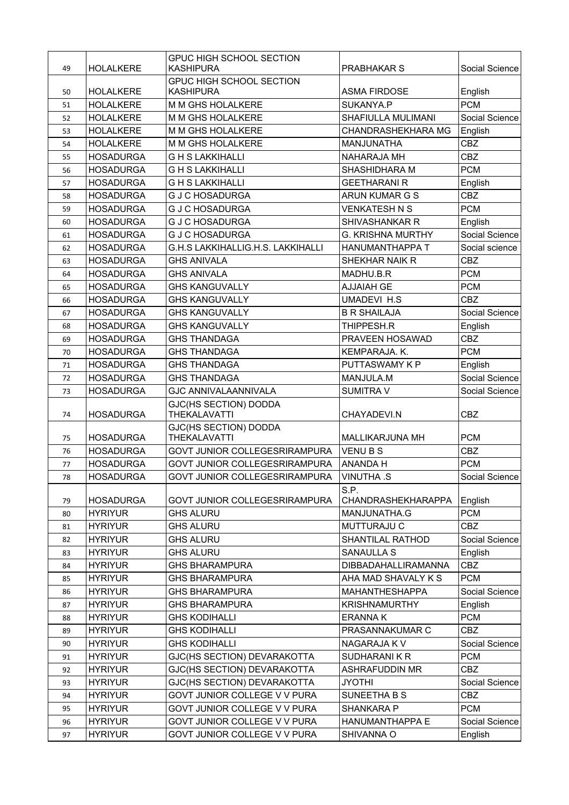| 49 | <b>HOLALKERE</b> | GPUC HIGH SCHOOL SECTION<br><b>KASHIPURA</b>        | <b>PRABHAKAR S</b>                | Social Science |
|----|------------------|-----------------------------------------------------|-----------------------------------|----------------|
| 50 | <b>HOLALKERE</b> | <b>GPUC HIGH SCHOOL SECTION</b><br><b>KASHIPURA</b> | <b>ASMA FIRDOSE</b>               | English        |
| 51 | <b>HOLALKERE</b> | <b>M M GHS HOLALKERE</b>                            | SUKANYA.P                         | <b>PCM</b>     |
| 52 | <b>HOLALKERE</b> | M M GHS HOLALKERE                                   | SHAFIULLA MULIMANI                | Social Science |
| 53 | <b>HOLALKERE</b> | M M GHS HOLALKERE                                   | CHANDRASHEKHARA MG                | English        |
| 54 | <b>HOLALKERE</b> | M M GHS HOLALKERE                                   | MANJUNATHA                        | <b>CBZ</b>     |
| 55 | <b>HOSADURGA</b> | <b>GHSLAKKIHALLI</b>                                | NAHARAJA MH                       | <b>CBZ</b>     |
| 56 | <b>HOSADURGA</b> | <b>GHSLAKKIHALLI</b>                                | SHASHIDHARA M                     | <b>PCM</b>     |
| 57 | <b>HOSADURGA</b> | <b>GHSLAKKIHALLI</b>                                | <b>GEETHARANI R</b>               | English        |
| 58 | <b>HOSADURGA</b> | <b>G J C HOSADURGA</b>                              | ARUN KUMAR G S                    | <b>CBZ</b>     |
| 59 | <b>HOSADURGA</b> | <b>G J C HOSADURGA</b>                              | <b>VENKATESH N S</b>              | <b>PCM</b>     |
| 60 | <b>HOSADURGA</b> | <b>G J C HOSADURGA</b>                              | <b>SHIVASHANKAR R</b>             | English        |
| 61 | <b>HOSADURGA</b> | <b>G J C HOSADURGA</b>                              | <b>G. KRISHNA MURTHY</b>          | Social Science |
| 62 | <b>HOSADURGA</b> | G.H.S LAKKIHALLIG.H.S. LAKKIHALLI                   | HANUMANTHAPPA T                   | Social science |
| 63 | <b>HOSADURGA</b> | <b>GHS ANIVALA</b>                                  | SHEKHAR NAIK R                    | <b>CBZ</b>     |
| 64 | <b>HOSADURGA</b> | <b>GHS ANIVALA</b>                                  | MADHU.B.R                         | <b>PCM</b>     |
| 65 | <b>HOSADURGA</b> | <b>GHS KANGUVALLY</b>                               | <b>AJJAIAH GE</b>                 | <b>PCM</b>     |
| 66 | <b>HOSADURGA</b> | <b>GHS KANGUVALLY</b>                               | <b>UMADEVI H.S</b>                | <b>CBZ</b>     |
| 67 | <b>HOSADURGA</b> | <b>GHS KANGUVALLY</b>                               | <b>B R SHAILAJA</b>               | Social Science |
| 68 | <b>HOSADURGA</b> | <b>GHS KANGUVALLY</b>                               | THIPPESH.R                        | English        |
| 69 | <b>HOSADURGA</b> | <b>GHS THANDAGA</b>                                 | PRAVEEN HOSAWAD                   | <b>CBZ</b>     |
| 70 | <b>HOSADURGA</b> | <b>GHS THANDAGA</b>                                 | KEMPARAJA. K.                     | <b>PCM</b>     |
| 71 | <b>HOSADURGA</b> | <b>GHS THANDAGA</b>                                 | PUTTASWAMY K P                    | English        |
| 72 | <b>HOSADURGA</b> | <b>GHS THANDAGA</b>                                 | MANJULA.M                         | Social Science |
| 73 | <b>HOSADURGA</b> | <b>GJC ANNIVALAANNIVALA</b>                         | <b>SUMITRA V</b>                  | Social Science |
| 74 | <b>HOSADURGA</b> | GJC(HS SECTION) DODDA<br><b>THEKALAVATTI</b>        | CHAYADEVI.N                       | <b>CBZ</b>     |
| 75 | <b>HOSADURGA</b> | GJC(HS SECTION) DODDA<br><b>THEKALAVATTI</b>        | MALLIKARJUNA MH                   | <b>PCM</b>     |
| 76 | <b>HOSADURGA</b> | GOVT JUNIOR COLLEGESRIRAMPURA                       | VENU B S                          | <b>CBZ</b>     |
| 77 | <b>HOSADURGA</b> | GOVT JUNIOR COLLEGESRIRAMPURA                       | <b>ANANDA H</b>                   | <b>PCM</b>     |
| 78 | <b>HOSADURGA</b> | GOVT JUNIOR COLLEGESRIRAMPURA                       | <b>VINUTHA .S</b>                 | Social Science |
| 79 | <b>HOSADURGA</b> | GOVT JUNIOR COLLEGESRIRAMPURA                       | S.P.<br><b>CHANDRASHEKHARAPPA</b> | English        |
| 80 | <b>HYRIYUR</b>   | <b>GHS ALURU</b>                                    | MANJUNATHA.G                      | <b>PCM</b>     |
| 81 | <b>HYRIYUR</b>   | <b>GHS ALURU</b>                                    | MUTTURAJU C                       | CBZ            |
| 82 | <b>HYRIYUR</b>   | <b>GHS ALURU</b>                                    | SHANTILAL RATHOD                  | Social Science |
| 83 | <b>HYRIYUR</b>   | <b>GHS ALURU</b>                                    | <b>SANAULLA S</b>                 | English        |
| 84 | <b>HYRIYUR</b>   | <b>GHS BHARAMPURA</b>                               | DIBBADAHALLIRAMANNA               | CBZ            |
| 85 | <b>HYRIYUR</b>   | <b>GHS BHARAMPURA</b>                               | AHA MAD SHAVALY K S               | <b>PCM</b>     |
| 86 | <b>HYRIYUR</b>   | <b>GHS BHARAMPURA</b>                               | <b>MAHANTHESHAPPA</b>             | Social Science |
| 87 | <b>HYRIYUR</b>   | <b>GHS BHARAMPURA</b>                               | <b>KRISHNAMURTHY</b>              | English        |
| 88 | <b>HYRIYUR</b>   | <b>GHS KODIHALLI</b>                                | <b>ERANNAK</b>                    | <b>PCM</b>     |
| 89 | <b>HYRIYUR</b>   | <b>GHS KODIHALLI</b>                                | PRASANNAKUMAR C                   | CBZ            |
| 90 | <b>HYRIYUR</b>   | <b>GHS KODIHALLI</b>                                | NAGARAJA K V                      | Social Science |
| 91 | <b>HYRIYUR</b>   | GJC(HS SECTION) DEVARAKOTTA                         | <b>SUDHARANIKR</b>                | <b>PCM</b>     |
| 92 | <b>HYRIYUR</b>   | GJC(HS SECTION) DEVARAKOTTA                         | ASHRAFUDDIN MR                    | <b>CBZ</b>     |
| 93 | <b>HYRIYUR</b>   | GJC(HS SECTION) DEVARAKOTTA                         | <b>JYOTHI</b>                     | Social Science |
| 94 | <b>HYRIYUR</b>   | GOVT JUNIOR COLLEGE V V PURA                        | <b>SUNEETHA B S</b>               | CBZ            |
| 95 | <b>HYRIYUR</b>   | GOVT JUNIOR COLLEGE V V PURA                        | <b>SHANKARA P</b>                 | <b>PCM</b>     |
| 96 | <b>HYRIYUR</b>   | GOVT JUNIOR COLLEGE V V PURA                        | HANUMANTHAPPA E                   | Social Science |
| 97 | <b>HYRIYUR</b>   | GOVT JUNIOR COLLEGE V V PURA                        | SHIVANNA O                        | English        |